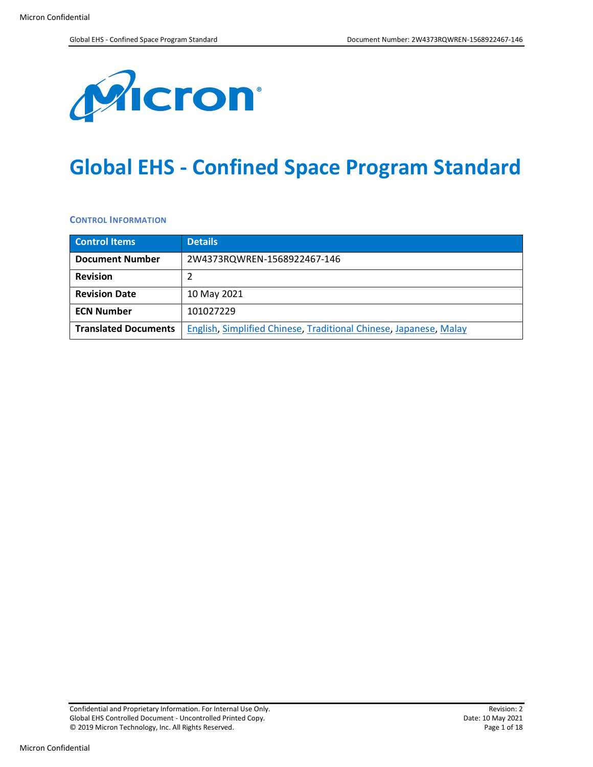

# **Global EHS - Confined Space Program Standard**

**CONTROL INFORMATION**

| <b>Control Items</b>        | <b>Details</b>                                                    |  |
|-----------------------------|-------------------------------------------------------------------|--|
| <b>Document Number</b>      | 2W4373RQWREN-1568922467-146                                       |  |
| <b>Revision</b>             |                                                                   |  |
| <b>Revision Date</b>        | 10 May 2021                                                       |  |
| <b>ECN Number</b>           | 101027229                                                         |  |
| <b>Translated Documents</b> | English, Simplified Chinese, Traditional Chinese, Japanese, Malay |  |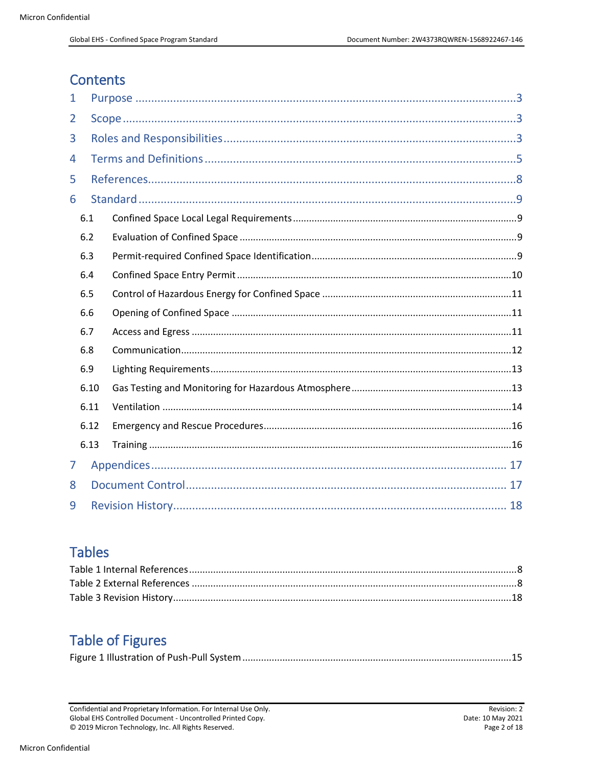### **Contents**

| 1   |      |  |  |  |
|-----|------|--|--|--|
| 2   |      |  |  |  |
| 3   |      |  |  |  |
| 4   |      |  |  |  |
| 5   |      |  |  |  |
| 6   |      |  |  |  |
|     | 6.1  |  |  |  |
|     | 6.2  |  |  |  |
|     | 6.3  |  |  |  |
|     | 6.4  |  |  |  |
|     | 6.5  |  |  |  |
|     | 6.6  |  |  |  |
|     | 6.7  |  |  |  |
|     | 6.8  |  |  |  |
| 6.9 |      |  |  |  |
|     | 6.10 |  |  |  |
|     | 6.11 |  |  |  |
|     | 6.12 |  |  |  |
|     | 6.13 |  |  |  |
| 7   |      |  |  |  |
| 8   |      |  |  |  |
| 9   |      |  |  |  |

# **Tables**

# **Table of Figures**

|--|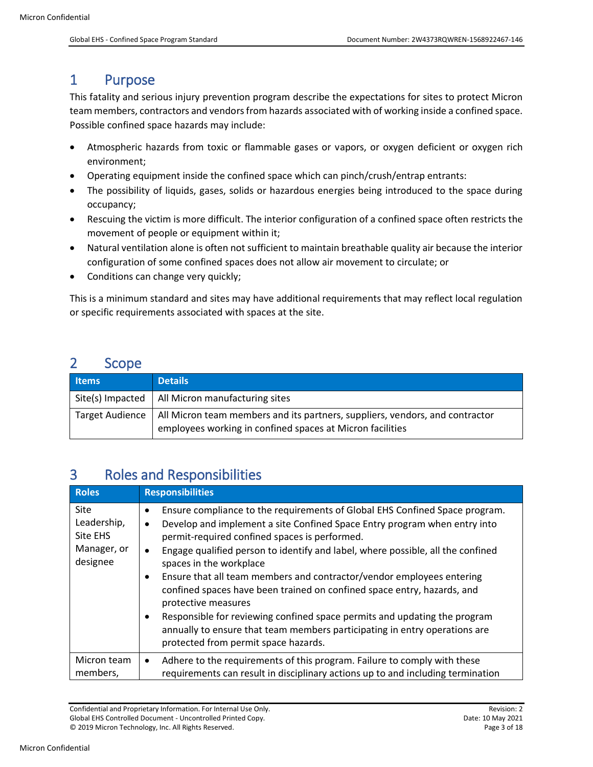### <span id="page-2-0"></span>1 Purpose

This fatality and serious injury prevention program describe the expectations for sites to protect Micron team members, contractors and vendors from hazards associated with of working inside a confined space. Possible confined space hazards may include:

- Atmospheric hazards from toxic or flammable gases or vapors, or oxygen deficient or oxygen rich environment;
- Operating equipment inside the confined space which can pinch/crush/entrap entrants:
- The possibility of liquids, gases, solids or hazardous energies being introduced to the space during occupancy;
- Rescuing the victim is more difficult. The interior configuration of a confined space often restricts the movement of people or equipment within it;
- Natural ventilation alone is often not sufficient to maintain breathable quality air because the interior configuration of some confined spaces does not allow air movement to circulate; or
- Conditions can change very quickly;

This is a minimum standard and sites may have additional requirements that may reflect local regulation or specific requirements associated with spaces at the site.

### <span id="page-2-1"></span>2 Scope

| <b>Items</b>           | <b>Details</b>                                                                                                                            |
|------------------------|-------------------------------------------------------------------------------------------------------------------------------------------|
|                        | Site(s) Impacted   All Micron manufacturing sites                                                                                         |
| <b>Target Audience</b> | All Micron team members and its partners, suppliers, vendors, and contractor<br>employees working in confined spaces at Micron facilities |

### <span id="page-2-2"></span>3 Roles and Responsibilities

| <b>Roles</b>                                               | <b>Responsibilities</b>                                                                                                                                                                                                                                                                                                                                                                                                                                                                                                                                                                                                                                                                               |
|------------------------------------------------------------|-------------------------------------------------------------------------------------------------------------------------------------------------------------------------------------------------------------------------------------------------------------------------------------------------------------------------------------------------------------------------------------------------------------------------------------------------------------------------------------------------------------------------------------------------------------------------------------------------------------------------------------------------------------------------------------------------------|
| Site<br>Leadership,<br>Site EHS<br>Manager, or<br>designee | Ensure compliance to the requirements of Global EHS Confined Space program.<br>Develop and implement a site Confined Space Entry program when entry into<br>permit-required confined spaces is performed.<br>Engage qualified person to identify and label, where possible, all the confined<br>spaces in the workplace<br>Ensure that all team members and contractor/vendor employees entering<br>confined spaces have been trained on confined space entry, hazards, and<br>protective measures<br>Responsible for reviewing confined space permits and updating the program<br>annually to ensure that team members participating in entry operations are<br>protected from permit space hazards. |
| Micron team<br>members,                                    | Adhere to the requirements of this program. Failure to comply with these<br>$\bullet$<br>requirements can result in disciplinary actions up to and including termination                                                                                                                                                                                                                                                                                                                                                                                                                                                                                                                              |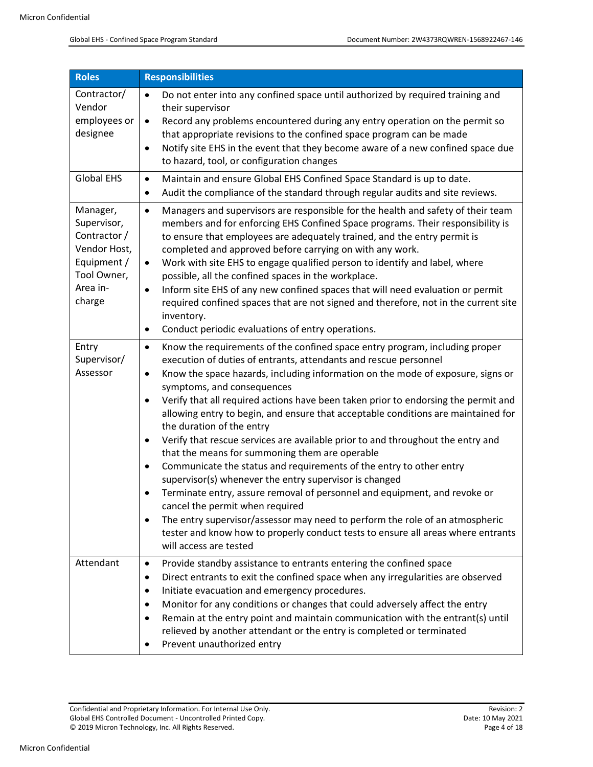| <b>Roles</b>                                                                                                                                                                                                                                                                                                                                                                                                                                                                                                                                                                                                                                                                                                                                                                                                                                           | <b>Responsibilities</b>                                                                                                                                                                                                                                                                                                                                                                                                                                                                                                                                                                                                                                                                                                                                                                                                                                                                                                                                                                                                                                                                                                                         |  |  |
|--------------------------------------------------------------------------------------------------------------------------------------------------------------------------------------------------------------------------------------------------------------------------------------------------------------------------------------------------------------------------------------------------------------------------------------------------------------------------------------------------------------------------------------------------------------------------------------------------------------------------------------------------------------------------------------------------------------------------------------------------------------------------------------------------------------------------------------------------------|-------------------------------------------------------------------------------------------------------------------------------------------------------------------------------------------------------------------------------------------------------------------------------------------------------------------------------------------------------------------------------------------------------------------------------------------------------------------------------------------------------------------------------------------------------------------------------------------------------------------------------------------------------------------------------------------------------------------------------------------------------------------------------------------------------------------------------------------------------------------------------------------------------------------------------------------------------------------------------------------------------------------------------------------------------------------------------------------------------------------------------------------------|--|--|
| Contractor/<br>Vendor<br>employees or<br>designee                                                                                                                                                                                                                                                                                                                                                                                                                                                                                                                                                                                                                                                                                                                                                                                                      | Do not enter into any confined space until authorized by required training and<br>$\bullet$<br>their supervisor<br>Record any problems encountered during any entry operation on the permit so<br>$\bullet$<br>that appropriate revisions to the confined space program can be made<br>Notify site EHS in the event that they become aware of a new confined space due<br>$\bullet$<br>to hazard, tool, or configuration changes                                                                                                                                                                                                                                                                                                                                                                                                                                                                                                                                                                                                                                                                                                                |  |  |
| <b>Global EHS</b>                                                                                                                                                                                                                                                                                                                                                                                                                                                                                                                                                                                                                                                                                                                                                                                                                                      | Maintain and ensure Global EHS Confined Space Standard is up to date.<br>$\bullet$<br>Audit the compliance of the standard through regular audits and site reviews.<br>$\bullet$                                                                                                                                                                                                                                                                                                                                                                                                                                                                                                                                                                                                                                                                                                                                                                                                                                                                                                                                                                |  |  |
| Manager,<br>Managers and supervisors are responsible for the health and safety of their team<br>$\bullet$<br>Supervisor,<br>members and for enforcing EHS Confined Space programs. Their responsibility is<br>Contractor /<br>to ensure that employees are adequately trained, and the entry permit is<br>Vendor Host,<br>completed and approved before carrying on with any work.<br>Equipment /<br>Work with site EHS to engage qualified person to identify and label, where<br>$\bullet$<br>Tool Owner,<br>possible, all the confined spaces in the workplace.<br>Area in-<br>Inform site EHS of any new confined spaces that will need evaluation or permit<br>$\bullet$<br>charge<br>required confined spaces that are not signed and therefore, not in the current site<br>inventory.<br>Conduct periodic evaluations of entry operations.<br>٠ |                                                                                                                                                                                                                                                                                                                                                                                                                                                                                                                                                                                                                                                                                                                                                                                                                                                                                                                                                                                                                                                                                                                                                 |  |  |
| Entry<br>Supervisor/<br>Assessor                                                                                                                                                                                                                                                                                                                                                                                                                                                                                                                                                                                                                                                                                                                                                                                                                       | Know the requirements of the confined space entry program, including proper<br>$\bullet$<br>execution of duties of entrants, attendants and rescue personnel<br>Know the space hazards, including information on the mode of exposure, signs or<br>$\bullet$<br>symptoms, and consequences<br>Verify that all required actions have been taken prior to endorsing the permit and<br>$\bullet$<br>allowing entry to begin, and ensure that acceptable conditions are maintained for<br>the duration of the entry<br>Verify that rescue services are available prior to and throughout the entry and<br>٠<br>that the means for summoning them are operable<br>Communicate the status and requirements of the entry to other entry<br>$\bullet$<br>supervisor(s) whenever the entry supervisor is changed<br>Terminate entry, assure removal of personnel and equipment, and revoke or<br>$\bullet$<br>cancel the permit when required<br>The entry supervisor/assessor may need to perform the role of an atmospheric<br>$\bullet$<br>tester and know how to properly conduct tests to ensure all areas where entrants<br>will access are tested |  |  |
| Attendant                                                                                                                                                                                                                                                                                                                                                                                                                                                                                                                                                                                                                                                                                                                                                                                                                                              | Provide standby assistance to entrants entering the confined space<br>٠<br>Direct entrants to exit the confined space when any irregularities are observed<br>$\bullet$<br>Initiate evacuation and emergency procedures.<br>٠<br>Monitor for any conditions or changes that could adversely affect the entry<br>٠<br>Remain at the entry point and maintain communication with the entrant(s) until<br>$\bullet$<br>relieved by another attendant or the entry is completed or terminated<br>Prevent unauthorized entry                                                                                                                                                                                                                                                                                                                                                                                                                                                                                                                                                                                                                         |  |  |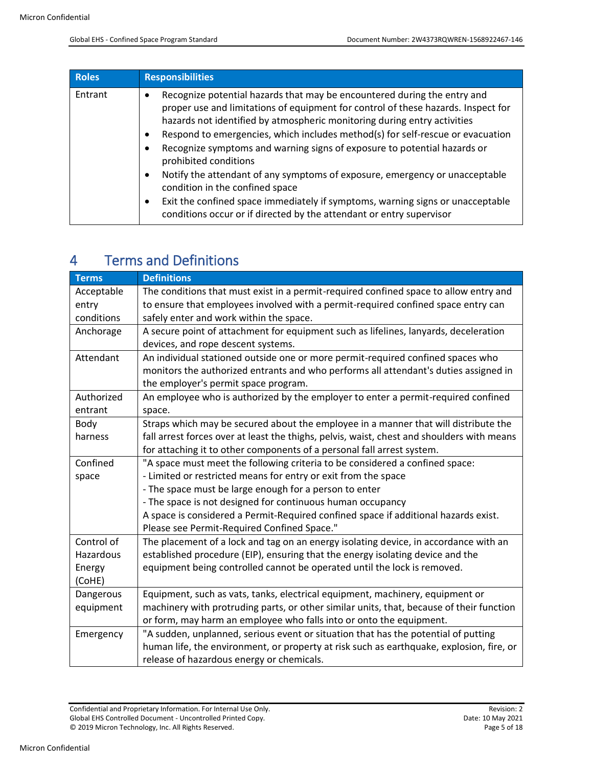| Roles   | <b>Responsibilities</b>                                                                                                                                                                                                                                                                                                                                                                                                                                                                                                                                                                                                                                                                                                                               |  |
|---------|-------------------------------------------------------------------------------------------------------------------------------------------------------------------------------------------------------------------------------------------------------------------------------------------------------------------------------------------------------------------------------------------------------------------------------------------------------------------------------------------------------------------------------------------------------------------------------------------------------------------------------------------------------------------------------------------------------------------------------------------------------|--|
| Entrant | Recognize potential hazards that may be encountered during the entry and<br>٠<br>proper use and limitations of equipment for control of these hazards. Inspect for<br>hazards not identified by atmospheric monitoring during entry activities<br>Respond to emergencies, which includes method(s) for self-rescue or evacuation<br>$\bullet$<br>Recognize symptoms and warning signs of exposure to potential hazards or<br>٠<br>prohibited conditions<br>Notify the attendant of any symptoms of exposure, emergency or unacceptable<br>٠<br>condition in the confined space<br>Exit the confined space immediately if symptoms, warning signs or unacceptable<br>$\bullet$<br>conditions occur or if directed by the attendant or entry supervisor |  |

# <span id="page-4-0"></span>4 Terms and Definitions

| <b>Terms</b>                                                        | <b>Definitions</b>                                                                         |  |
|---------------------------------------------------------------------|--------------------------------------------------------------------------------------------|--|
| Acceptable                                                          | The conditions that must exist in a permit-required confined space to allow entry and      |  |
| entry                                                               | to ensure that employees involved with a permit-required confined space entry can          |  |
| conditions                                                          | safely enter and work within the space.                                                    |  |
| Anchorage                                                           | A secure point of attachment for equipment such as lifelines, lanyards, deceleration       |  |
|                                                                     | devices, and rope descent systems.                                                         |  |
| Attendant                                                           | An individual stationed outside one or more permit-required confined spaces who            |  |
|                                                                     | monitors the authorized entrants and who performs all attendant's duties assigned in       |  |
|                                                                     | the employer's permit space program.                                                       |  |
| Authorized                                                          | An employee who is authorized by the employer to enter a permit-required confined          |  |
| entrant                                                             | space.                                                                                     |  |
| Body                                                                | Straps which may be secured about the employee in a manner that will distribute the        |  |
| harness                                                             | fall arrest forces over at least the thighs, pelvis, waist, chest and shoulders with means |  |
|                                                                     | for attaching it to other components of a personal fall arrest system.                     |  |
| Confined                                                            | "A space must meet the following criteria to be considered a confined space:               |  |
| space                                                               | - Limited or restricted means for entry or exit from the space                             |  |
|                                                                     | - The space must be large enough for a person to enter                                     |  |
|                                                                     | - The space is not designed for continuous human occupancy                                 |  |
|                                                                     | A space is considered a Permit-Required confined space if additional hazards exist.        |  |
|                                                                     | Please see Permit-Required Confined Space."                                                |  |
| Control of                                                          | The placement of a lock and tag on an energy isolating device, in accordance with an       |  |
| Hazardous                                                           | established procedure (EIP), ensuring that the energy isolating device and the             |  |
| Energy                                                              | equipment being controlled cannot be operated until the lock is removed.                   |  |
| (CoHE)                                                              |                                                                                            |  |
| Dangerous                                                           | Equipment, such as vats, tanks, electrical equipment, machinery, equipment or              |  |
| equipment                                                           | machinery with protruding parts, or other similar units, that, because of their function   |  |
| or form, may harm an employee who falls into or onto the equipment. |                                                                                            |  |
| Emergency                                                           | "A sudden, unplanned, serious event or situation that has the potential of putting         |  |
|                                                                     | human life, the environment, or property at risk such as earthquake, explosion, fire, or   |  |
|                                                                     | release of hazardous energy or chemicals.                                                  |  |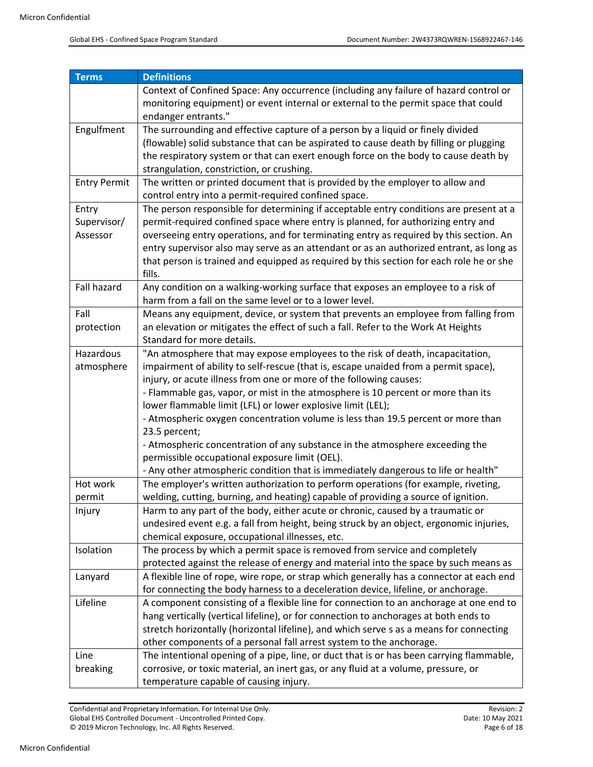| <b>Terms</b>                                                                                  | <b>Definitions</b>                                                                                                                   |  |
|-----------------------------------------------------------------------------------------------|--------------------------------------------------------------------------------------------------------------------------------------|--|
|                                                                                               | Context of Confined Space: Any occurrence (including any failure of hazard control or                                                |  |
|                                                                                               | monitoring equipment) or event internal or external to the permit space that could                                                   |  |
|                                                                                               | endanger entrants."                                                                                                                  |  |
| The surrounding and effective capture of a person by a liquid or finely divided<br>Engulfment |                                                                                                                                      |  |
|                                                                                               | (flowable) solid substance that can be aspirated to cause death by filling or plugging                                               |  |
|                                                                                               | the respiratory system or that can exert enough force on the body to cause death by                                                  |  |
|                                                                                               | strangulation, constriction, or crushing.                                                                                            |  |
| <b>Entry Permit</b>                                                                           | The written or printed document that is provided by the employer to allow and                                                        |  |
|                                                                                               | control entry into a permit-required confined space.                                                                                 |  |
| Entry                                                                                         | The person responsible for determining if acceptable entry conditions are present at a                                               |  |
| Supervisor/                                                                                   | permit-required confined space where entry is planned, for authorizing entry and                                                     |  |
| Assessor                                                                                      | overseeing entry operations, and for terminating entry as required by this section. An                                               |  |
|                                                                                               | entry supervisor also may serve as an attendant or as an authorized entrant, as long as                                              |  |
|                                                                                               | that person is trained and equipped as required by this section for each role he or she                                              |  |
|                                                                                               | fills.                                                                                                                               |  |
| Fall hazard                                                                                   | Any condition on a walking-working surface that exposes an employee to a risk of                                                     |  |
|                                                                                               | harm from a fall on the same level or to a lower level.                                                                              |  |
| Fall                                                                                          | Means any equipment, device, or system that prevents an employee from falling from                                                   |  |
| protection                                                                                    | an elevation or mitigates the effect of such a fall. Refer to the Work At Heights                                                    |  |
|                                                                                               | Standard for more details.                                                                                                           |  |
| Hazardous                                                                                     | "An atmosphere that may expose employees to the risk of death, incapacitation,                                                       |  |
| atmosphere                                                                                    | impairment of ability to self-rescue (that is, escape unaided from a permit space),                                                  |  |
|                                                                                               | injury, or acute illness from one or more of the following causes:                                                                   |  |
|                                                                                               | - Flammable gas, vapor, or mist in the atmosphere is 10 percent or more than its                                                     |  |
|                                                                                               | lower flammable limit (LFL) or lower explosive limit (LEL);                                                                          |  |
|                                                                                               | - Atmospheric oxygen concentration volume is less than 19.5 percent or more than                                                     |  |
|                                                                                               | 23.5 percent;                                                                                                                        |  |
|                                                                                               | - Atmospheric concentration of any substance in the atmosphere exceeding the                                                         |  |
|                                                                                               | permissible occupational exposure limit (OEL).<br>- Any other atmospheric condition that is immediately dangerous to life or health" |  |
| Hot work                                                                                      | The employer's written authorization to perform operations (for example, riveting,                                                   |  |
|                                                                                               | welding, cutting, burning, and heating) capable of providing a source of ignition.                                                   |  |
| permit<br>Injury                                                                              | Harm to any part of the body, either acute or chronic, caused by a traumatic or                                                      |  |
|                                                                                               | undesired event e.g. a fall from height, being struck by an object, ergonomic injuries,                                              |  |
|                                                                                               | chemical exposure, occupational illnesses, etc.                                                                                      |  |
| Isolation                                                                                     | The process by which a permit space is removed from service and completely                                                           |  |
|                                                                                               | protected against the release of energy and material into the space by such means as                                                 |  |
| Lanyard                                                                                       | A flexible line of rope, wire rope, or strap which generally has a connector at each end                                             |  |
|                                                                                               | for connecting the body harness to a deceleration device, lifeline, or anchorage.                                                    |  |
| Lifeline                                                                                      | A component consisting of a flexible line for connection to an anchorage at one end to                                               |  |
|                                                                                               | hang vertically (vertical lifeline), or for connection to anchorages at both ends to                                                 |  |
|                                                                                               | stretch horizontally (horizontal lifeline), and which serve s as a means for connecting                                              |  |
|                                                                                               | other components of a personal fall arrest system to the anchorage.                                                                  |  |
| Line                                                                                          | The intentional opening of a pipe, line, or duct that is or has been carrying flammable,                                             |  |
|                                                                                               |                                                                                                                                      |  |
|                                                                                               |                                                                                                                                      |  |
| breaking                                                                                      | corrosive, or toxic material, an inert gas, or any fluid at a volume, pressure, or<br>temperature capable of causing injury.         |  |

Confidential and Proprietary Information. For Internal Use Only.<br>
Global EHS Controlled Document - Uncontrolled Printed Copy. Date: 10 May 2021 Global EHS Controlled Document - Uncontrolled Printed Copy.<br>
© 2019 Micron Technology, Inc. All Rights Reserved. Date: 10 May 2021 Page 6 of 18 © 2019 Micron Technology, Inc. All Rights Reserved.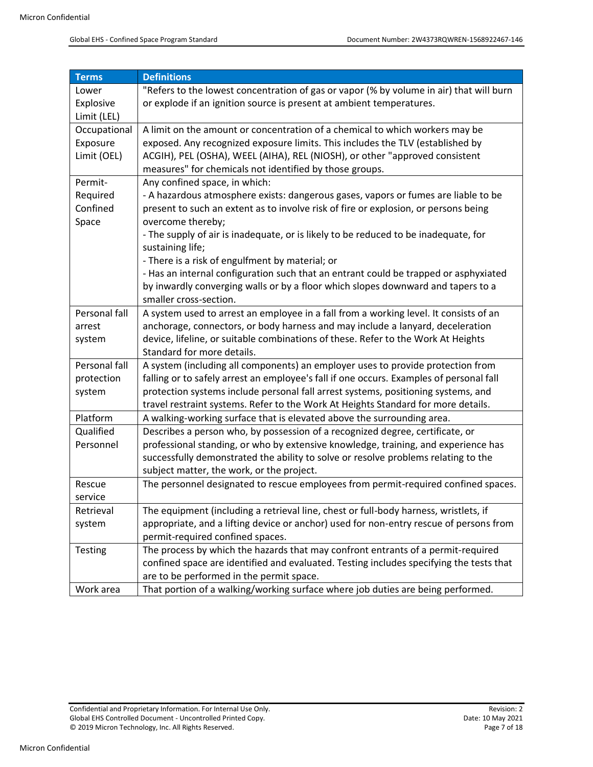| <b>Terms</b>  | <b>Definitions</b>                                                                      |  |  |
|---------------|-----------------------------------------------------------------------------------------|--|--|
| Lower         | "Refers to the lowest concentration of gas or vapor (% by volume in air) that will burn |  |  |
| Explosive     | or explode if an ignition source is present at ambient temperatures.                    |  |  |
| Limit (LEL)   |                                                                                         |  |  |
| Occupational  | A limit on the amount or concentration of a chemical to which workers may be            |  |  |
| Exposure      | exposed. Any recognized exposure limits. This includes the TLV (established by          |  |  |
| Limit (OEL)   | ACGIH), PEL (OSHA), WEEL (AIHA), REL (NIOSH), or other "approved consistent             |  |  |
|               | measures" for chemicals not identified by those groups.                                 |  |  |
| Permit-       | Any confined space, in which:                                                           |  |  |
| Required      | - A hazardous atmosphere exists: dangerous gases, vapors or fumes are liable to be      |  |  |
| Confined      | present to such an extent as to involve risk of fire or explosion, or persons being     |  |  |
| Space         | overcome thereby;                                                                       |  |  |
|               | - The supply of air is inadequate, or is likely to be reduced to be inadequate, for     |  |  |
|               | sustaining life;                                                                        |  |  |
|               | - There is a risk of engulfment by material; or                                         |  |  |
|               | - Has an internal configuration such that an entrant could be trapped or asphyxiated    |  |  |
|               | by inwardly converging walls or by a floor which slopes downward and tapers to a        |  |  |
|               | smaller cross-section.                                                                  |  |  |
| Personal fall | A system used to arrest an employee in a fall from a working level. It consists of an   |  |  |
| arrest        | anchorage, connectors, or body harness and may include a lanyard, deceleration          |  |  |
| system        | device, lifeline, or suitable combinations of these. Refer to the Work At Heights       |  |  |
|               | Standard for more details.                                                              |  |  |
| Personal fall | A system (including all components) an employer uses to provide protection from         |  |  |
| protection    | falling or to safely arrest an employee's fall if one occurs. Examples of personal fall |  |  |
| system        | protection systems include personal fall arrest systems, positioning systems, and       |  |  |
|               | travel restraint systems. Refer to the Work At Heights Standard for more details.       |  |  |
| Platform      | A walking-working surface that is elevated above the surrounding area.                  |  |  |
| Qualified     | Describes a person who, by possession of a recognized degree, certificate, or           |  |  |
| Personnel     | professional standing, or who by extensive knowledge, training, and experience has      |  |  |
|               | successfully demonstrated the ability to solve or resolve problems relating to the      |  |  |
|               | subject matter, the work, or the project.                                               |  |  |
| Rescue        | The personnel designated to rescue employees from permit-required confined spaces.      |  |  |
| service       |                                                                                         |  |  |
| Retrieval     | The equipment (including a retrieval line, chest or full-body harness, wristlets, if    |  |  |
| system        | appropriate, and a lifting device or anchor) used for non-entry rescue of persons from  |  |  |
|               | permit-required confined spaces.                                                        |  |  |
| Testing       | The process by which the hazards that may confront entrants of a permit-required        |  |  |
|               | confined space are identified and evaluated. Testing includes specifying the tests that |  |  |
|               | are to be performed in the permit space.                                                |  |  |
| Work area     | That portion of a walking/working surface where job duties are being performed.         |  |  |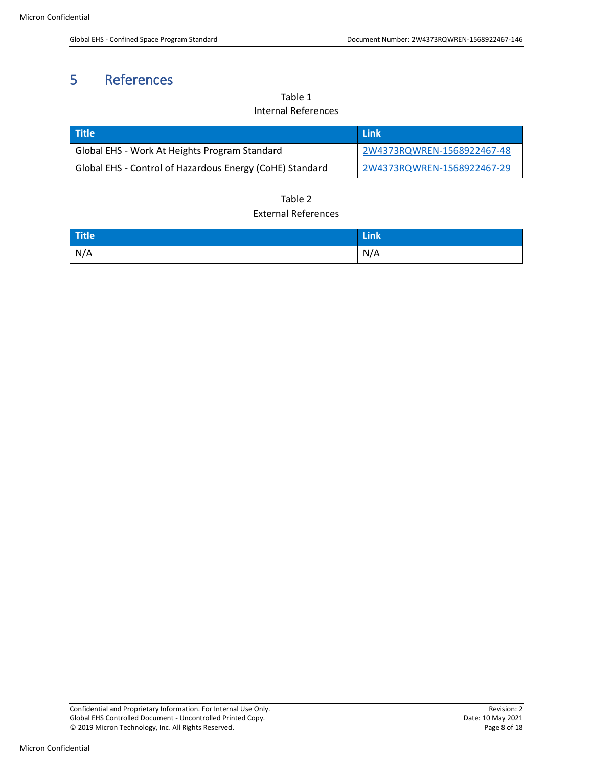# <span id="page-7-1"></span><span id="page-7-0"></span>5 References

Table 1 Internal References

| <b>Title</b>                                             | l Link                     |
|----------------------------------------------------------|----------------------------|
| Global EHS - Work At Heights Program Standard            | 2W4373RQWREN-1568922467-48 |
| Global EHS - Control of Hazardous Energy (CoHE) Standard | 2W4373RQWREN-1568922467-29 |

#### Table 2 External References

<span id="page-7-2"></span>

| Title | <b>TELL</b><br>LIIIN |
|-------|----------------------|
| N/A   | N/A                  |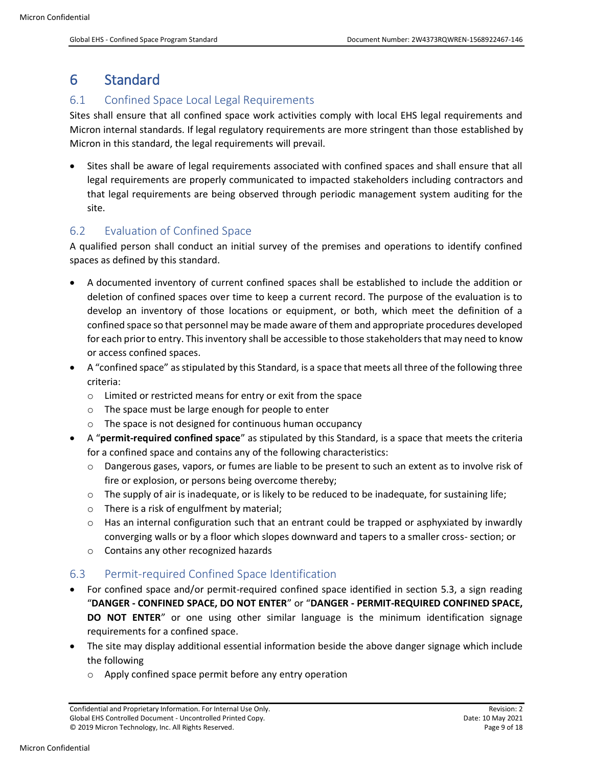### <span id="page-8-0"></span>6 Standard

#### <span id="page-8-1"></span>6.1 Confined Space Local Legal Requirements

Sites shall ensure that all confined space work activities comply with local EHS legal requirements and Micron internal standards. If legal regulatory requirements are more stringent than those established by Micron in this standard, the legal requirements will prevail.

• Sites shall be aware of legal requirements associated with confined spaces and shall ensure that all legal requirements are properly communicated to impacted stakeholders including contractors and that legal requirements are being observed through periodic management system auditing for the site.

#### <span id="page-8-2"></span>6.2 Evaluation of Confined Space

A qualified person shall conduct an initial survey of the premises and operations to identify confined spaces as defined by this standard.

- A documented inventory of current confined spaces shall be established to include the addition or deletion of confined spaces over time to keep a current record. The purpose of the evaluation is to develop an inventory of those locations or equipment, or both, which meet the definition of a confined space so that personnel may be made aware of them and appropriate procedures developed for each prior to entry. This inventory shall be accessible to those stakeholders that may need to know or access confined spaces.
- A "confined space" as stipulated by this Standard, is a space that meets all three of the following three criteria:
	- o Limited or restricted means for entry or exit from the space
	- o The space must be large enough for people to enter
	- o The space is not designed for continuous human occupancy
- A "**permit-required confined space**" as stipulated by this Standard, is a space that meets the criteria for a confined space and contains any of the following characteristics:
	- o Dangerous gases, vapors, or fumes are liable to be present to such an extent as to involve risk of fire or explosion, or persons being overcome thereby;
	- $\circ$  The supply of air is inadequate, or is likely to be reduced to be inadequate, for sustaining life;
	- o There is a risk of engulfment by material;
	- $\circ$  Has an internal configuration such that an entrant could be trapped or asphyxiated by inwardly converging walls or by a floor which slopes downward and tapers to a smaller cross- section; or
	- o Contains any other recognized hazards

#### <span id="page-8-3"></span>6.3 Permit-required Confined Space Identification

- For confined space and/or permit-required confined space identified in section 5.3, a sign reading "**DANGER - CONFINED SPACE, DO NOT ENTER**" or "**DANGER - PERMIT-REQUIRED CONFINED SPACE, DO NOT ENTER**" or one using other similar language is the minimum identification signage requirements for a confined space.
- The site may display additional essential information beside the above danger signage which include the following
	- Apply confined space permit before any entry operation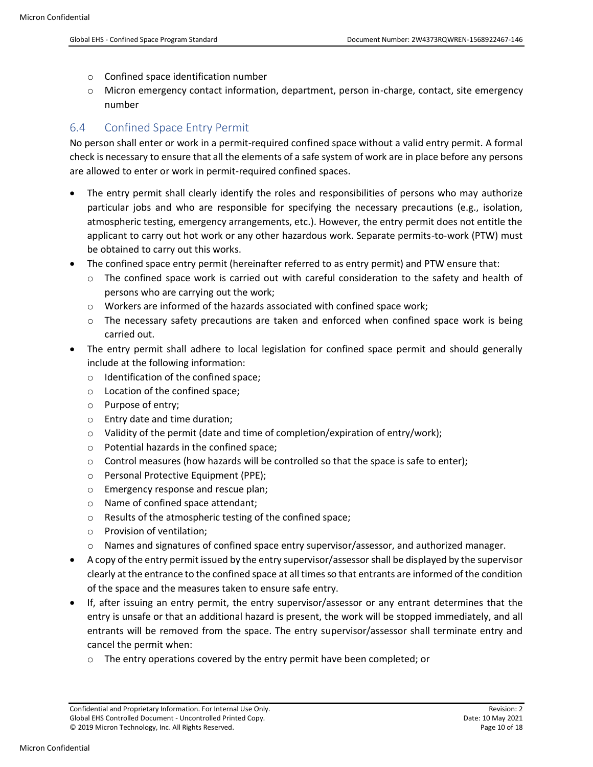- o Confined space identification number
- o Micron emergency contact information, department, person in-charge, contact, site emergency number

#### <span id="page-9-0"></span>6.4 Confined Space Entry Permit

No person shall enter or work in a permit-required confined space without a valid entry permit. A formal check is necessary to ensure that all the elements of a safe system of work are in place before any persons are allowed to enter or work in permit-required confined spaces.

- The entry permit shall clearly identify the roles and responsibilities of persons who may authorize particular jobs and who are responsible for specifying the necessary precautions (e.g., isolation, atmospheric testing, emergency arrangements, etc.). However, the entry permit does not entitle the applicant to carry out hot work or any other hazardous work. Separate permits-to-work (PTW) must be obtained to carry out this works.
- The confined space entry permit (hereinafter referred to as entry permit) and PTW ensure that:
	- $\circ$  The confined space work is carried out with careful consideration to the safety and health of persons who are carrying out the work;
	- $\circ$  Workers are informed of the hazards associated with confined space work;
	- $\circ$  The necessary safety precautions are taken and enforced when confined space work is being carried out.
- The entry permit shall adhere to local legislation for confined space permit and should generally include at the following information:
	- o Identification of the confined space;
	- o Location of the confined space;
	- o Purpose of entry;
	- o Entry date and time duration;
	- $\circ$  Validity of the permit (date and time of completion/expiration of entry/work);
	- o Potential hazards in the confined space;
	- o Control measures (how hazards will be controlled so that the space is safe to enter);
	- o Personal Protective Equipment (PPE);
	- o Emergency response and rescue plan;
	- o Name of confined space attendant;
	- o Results of the atmospheric testing of the confined space;
	- o Provision of ventilation;
	- o Names and signatures of confined space entry supervisor/assessor, and authorized manager.
- A copy of the entry permit issued by the entry supervisor/assessor shall be displayed by the supervisor clearly at the entrance to the confined space at all times so that entrants are informed of the condition of the space and the measures taken to ensure safe entry.
- If, after issuing an entry permit, the entry supervisor/assessor or any entrant determines that the entry is unsafe or that an additional hazard is present, the work will be stopped immediately, and all entrants will be removed from the space. The entry supervisor/assessor shall terminate entry and cancel the permit when:
	- $\circ$  The entry operations covered by the entry permit have been completed; or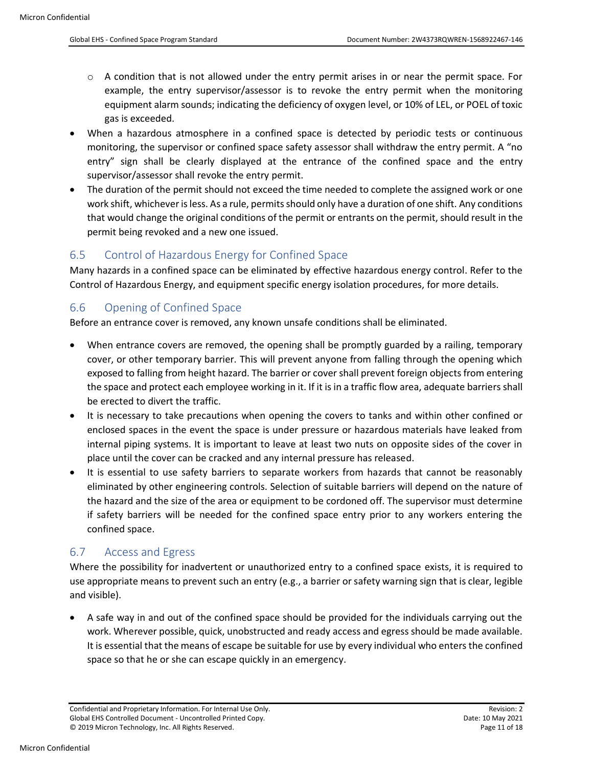- $\circ$  A condition that is not allowed under the entry permit arises in or near the permit space. For example, the entry supervisor/assessor is to revoke the entry permit when the monitoring equipment alarm sounds; indicating the deficiency of oxygen level, or 10% of LEL, or POEL of toxic gas is exceeded.
- When a hazardous atmosphere in a confined space is detected by periodic tests or continuous monitoring, the supervisor or confined space safety assessor shall withdraw the entry permit. A "no entry" sign shall be clearly displayed at the entrance of the confined space and the entry supervisor/assessor shall revoke the entry permit.
- The duration of the permit should not exceed the time needed to complete the assigned work or one work shift, whichever is less. As a rule, permits should only have a duration of one shift. Any conditions that would change the original conditions of the permit or entrants on the permit, should result in the permit being revoked and a new one issued.

#### <span id="page-10-0"></span>6.5 Control of Hazardous Energy for Confined Space

Many hazards in a confined space can be eliminated by effective hazardous energy control. Refer to the Control of Hazardous Energy, and equipment specific energy isolation procedures, for more details.

#### <span id="page-10-1"></span>6.6 Opening of Confined Space

Before an entrance cover is removed, any known unsafe conditions shall be eliminated.

- When entrance covers are removed, the opening shall be promptly guarded by a railing, temporary cover, or other temporary barrier. This will prevent anyone from falling through the opening which exposed to falling from height hazard. The barrier or cover shall prevent foreign objects from entering the space and protect each employee working in it. If it is in a traffic flow area, adequate barriers shall be erected to divert the traffic.
- It is necessary to take precautions when opening the covers to tanks and within other confined or enclosed spaces in the event the space is under pressure or hazardous materials have leaked from internal piping systems. It is important to leave at least two nuts on opposite sides of the cover in place until the cover can be cracked and any internal pressure has released.
- It is essential to use safety barriers to separate workers from hazards that cannot be reasonably eliminated by other engineering controls. Selection of suitable barriers will depend on the nature of the hazard and the size of the area or equipment to be cordoned off. The supervisor must determine if safety barriers will be needed for the confined space entry prior to any workers entering the confined space.

#### <span id="page-10-2"></span>6.7 Access and Egress

Where the possibility for inadvertent or unauthorized entry to a confined space exists, it is required to use appropriate means to prevent such an entry (e.g., a barrier or safety warning sign that is clear, legible and visible).

• A safe way in and out of the confined space should be provided for the individuals carrying out the work. Wherever possible, quick, unobstructed and ready access and egress should be made available. It is essential that the means of escape be suitable for use by every individual who enters the confined space so that he or she can escape quickly in an emergency.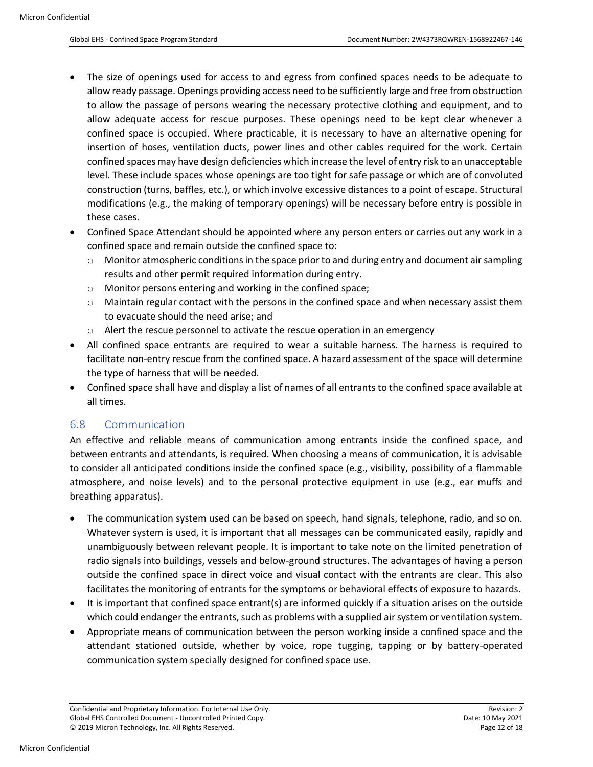- The size of openings used for access to and egress from confined spaces needs to be adequate to allow ready passage. Openings providing access need to be sufficiently large and free from obstruction to allow the passage of persons wearing the necessary protective clothing and equipment, and to allow adequate access for rescue purposes. These openings need to be kept clear whenever a confined space is occupied. Where practicable, it is necessary to have an alternative opening for insertion of hoses, ventilation ducts, power lines and other cables required for the work. Certain confined spaces may have design deficiencies which increase the level of entry risk to an unacceptable level. These include spaces whose openings are too tight for safe passage or which are of convoluted construction (turns, baffles, etc.), or which involve excessive distances to a point of escape. Structural modifications (e.g., the making of temporary openings) will be necessary before entry is possible in these cases.
- Confined Space Attendant should be appointed where any person enters or carries out any work in a confined space and remain outside the confined space to:
	- o Monitor atmospheric conditions in the space prior to and during entry and document air sampling results and other permit required information during entry.
	- o Monitor persons entering and working in the confined space;
	- $\circ$  Maintain regular contact with the persons in the confined space and when necessary assist them to evacuate should the need arise; and
	- o Alert the rescue personnel to activate the rescue operation in an emergency
- All confined space entrants are required to wear a suitable harness. The harness is required to facilitate non-entry rescue from the confined space. A hazard assessment of the space will determine the type of harness that will be needed.
- Confined space shall have and display a list of names of all entrants to the confined space available at all times.

#### <span id="page-11-0"></span>6.8 Communication

An effective and reliable means of communication among entrants inside the confined space, and between entrants and attendants, is required. When choosing a means of communication, it is advisable to consider all anticipated conditions inside the confined space (e.g., visibility, possibility of a flammable atmosphere, and noise levels) and to the personal protective equipment in use (e.g., ear muffs and breathing apparatus).

- The communication system used can be based on speech, hand signals, telephone, radio, and so on. Whatever system is used, it is important that all messages can be communicated easily, rapidly and unambiguously between relevant people. It is important to take note on the limited penetration of radio signals into buildings, vessels and below-ground structures. The advantages of having a person outside the confined space in direct voice and visual contact with the entrants are clear. This also facilitates the monitoring of entrants for the symptoms or behavioral effects of exposure to hazards.
- It is important that confined space entrant(s) are informed quickly if a situation arises on the outside which could endanger the entrants, such as problems with a supplied air system or ventilation system.
- Appropriate means of communication between the person working inside a confined space and the attendant stationed outside, whether by voice, rope tugging, tapping or by battery-operated communication system specially designed for confined space use.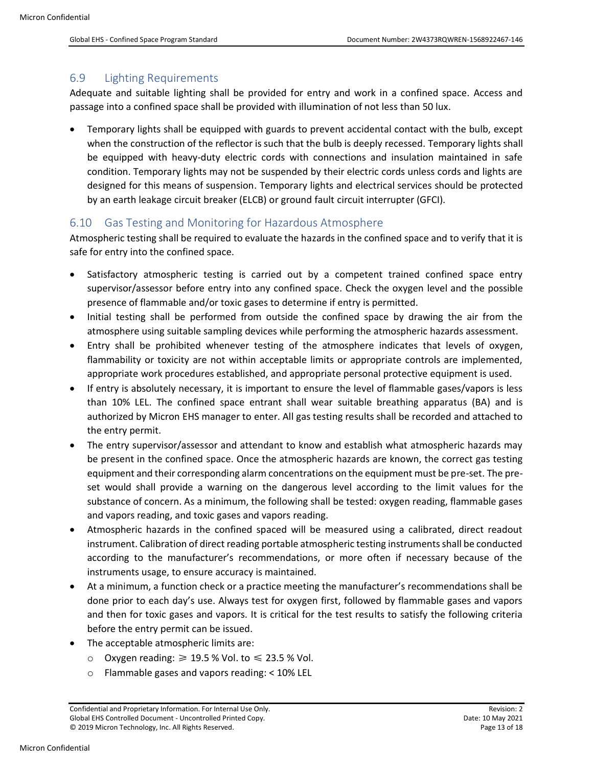#### <span id="page-12-0"></span>6.9 Lighting Requirements

Adequate and suitable lighting shall be provided for entry and work in a confined space. Access and passage into a confined space shall be provided with illumination of not less than 50 lux.

• Temporary lights shall be equipped with guards to prevent accidental contact with the bulb, except when the construction of the reflector is such that the bulb is deeply recessed. Temporary lights shall be equipped with heavy-duty electric cords with connections and insulation maintained in safe condition. Temporary lights may not be suspended by their electric cords unless cords and lights are designed for this means of suspension. Temporary lights and electrical services should be protected by an earth leakage circuit breaker (ELCB) or ground fault circuit interrupter (GFCI).

#### <span id="page-12-1"></span>6.10 Gas Testing and Monitoring for Hazardous Atmosphere

Atmospheric testing shall be required to evaluate the hazards in the confined space and to verify that it is safe for entry into the confined space.

- Satisfactory atmospheric testing is carried out by a competent trained confined space entry supervisor/assessor before entry into any confined space. Check the oxygen level and the possible presence of flammable and/or toxic gases to determine if entry is permitted.
- Initial testing shall be performed from outside the confined space by drawing the air from the atmosphere using suitable sampling devices while performing the atmospheric hazards assessment.
- Entry shall be prohibited whenever testing of the atmosphere indicates that levels of oxygen, flammability or toxicity are not within acceptable limits or appropriate controls are implemented, appropriate work procedures established, and appropriate personal protective equipment is used.
- If entry is absolutely necessary, it is important to ensure the level of flammable gases/vapors is less than 10% LEL. The confined space entrant shall wear suitable breathing apparatus (BA) and is authorized by Micron EHS manager to enter. All gas testing results shall be recorded and attached to the entry permit.
- The entry supervisor/assessor and attendant to know and establish what atmospheric hazards may be present in the confined space. Once the atmospheric hazards are known, the correct gas testing equipment and their corresponding alarm concentrations on the equipment must be pre-set. The preset would shall provide a warning on the dangerous level according to the limit values for the substance of concern. As a minimum, the following shall be tested: oxygen reading, flammable gases and vapors reading, and toxic gases and vapors reading.
- Atmospheric hazards in the confined spaced will be measured using a calibrated, direct readout instrument. Calibration of direct reading portable atmospheric testing instruments shall be conducted according to the manufacturer's recommendations, or more often if necessary because of the instruments usage, to ensure accuracy is maintained.
- At a minimum, a function check or a practice meeting the manufacturer's recommendations shall be done prior to each day's use. Always test for oxygen first, followed by flammable gases and vapors and then for toxic gases and vapors. It is critical for the test results to satisfy the following criteria before the entry permit can be issued.
- The acceptable atmospheric limits are:
	- o Oxygen reading:  $≥$  19.5 % Vol. to  $≤$  23.5 % Vol.
	- o Flammable gases and vapors reading: < 10% LEL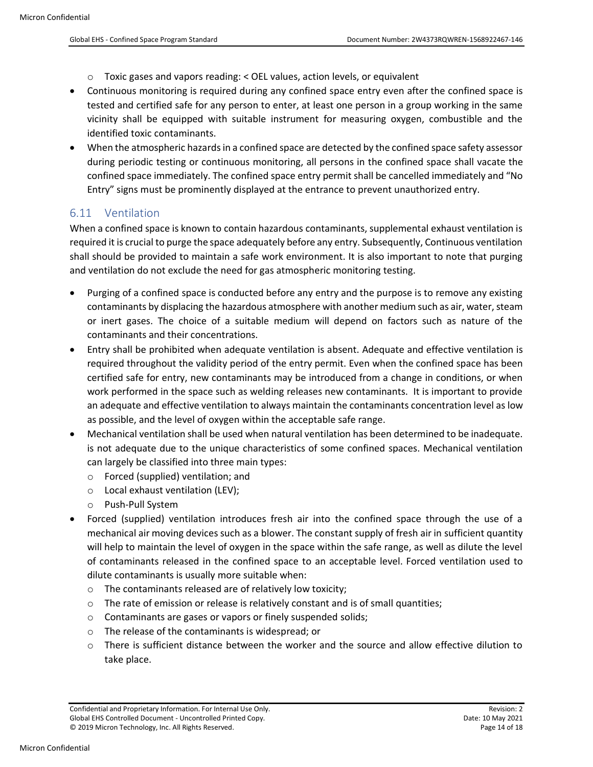- $\circ$  Toxic gases and vapors reading: < OEL values, action levels, or equivalent
- Continuous monitoring is required during any confined space entry even after the confined space is tested and certified safe for any person to enter, at least one person in a group working in the same vicinity shall be equipped with suitable instrument for measuring oxygen, combustible and the identified toxic contaminants.
- When the atmospheric hazards in a confined space are detected by the confined space safety assessor during periodic testing or continuous monitoring, all persons in the confined space shall vacate the confined space immediately. The confined space entry permit shall be cancelled immediately and "No Entry" signs must be prominently displayed at the entrance to prevent unauthorized entry.

#### <span id="page-13-0"></span>6.11 Ventilation

When a confined space is known to contain hazardous contaminants, supplemental exhaust ventilation is required it is crucial to purge the space adequately before any entry. Subsequently, Continuous ventilation shall should be provided to maintain a safe work environment. It is also important to note that purging and ventilation do not exclude the need for gas atmospheric monitoring testing.

- Purging of a confined space is conducted before any entry and the purpose is to remove any existing contaminants by displacing the hazardous atmosphere with another medium such as air, water, steam or inert gases. The choice of a suitable medium will depend on factors such as nature of the contaminants and their concentrations.
- Entry shall be prohibited when adequate ventilation is absent. Adequate and effective ventilation is required throughout the validity period of the entry permit. Even when the confined space has been certified safe for entry, new contaminants may be introduced from a change in conditions, or when work performed in the space such as welding releases new contaminants. It is important to provide an adequate and effective ventilation to always maintain the contaminants concentration level as low as possible, and the level of oxygen within the acceptable safe range.
- Mechanical ventilation shall be used when natural ventilation has been determined to be inadequate. is not adequate due to the unique characteristics of some confined spaces. Mechanical ventilation can largely be classified into three main types:
	- o Forced (supplied) ventilation; and
	- o Local exhaust ventilation (LEV);
	- o Push-Pull System
- Forced (supplied) ventilation introduces fresh air into the confined space through the use of a mechanical air moving devices such as a blower. The constant supply of fresh air in sufficient quantity will help to maintain the level of oxygen in the space within the safe range, as well as dilute the level of contaminants released in the confined space to an acceptable level. Forced ventilation used to dilute contaminants is usually more suitable when:
	- o The contaminants released are of relatively low toxicity;
	- $\circ$  The rate of emission or release is relatively constant and is of small quantities;
	- o Contaminants are gases or vapors or finely suspended solids;
	- o The release of the contaminants is widespread; or
	- o There is sufficient distance between the worker and the source and allow effective dilution to take place.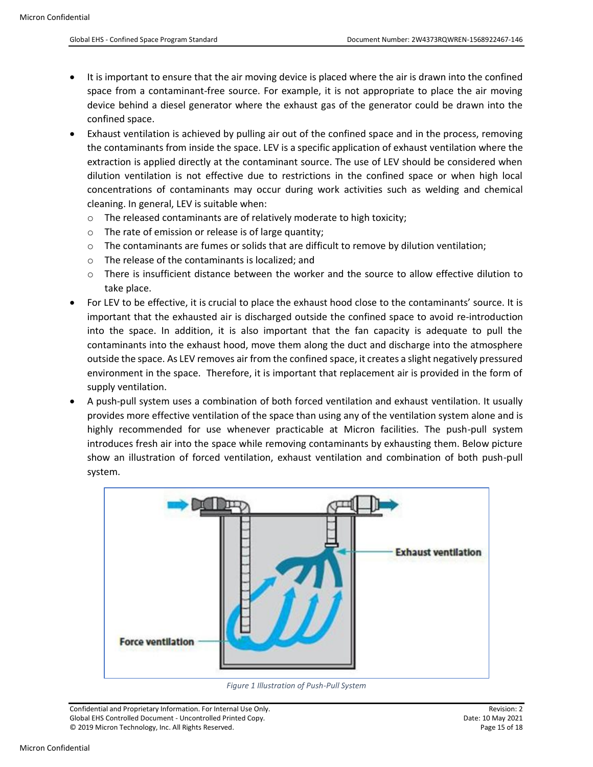- It is important to ensure that the air moving device is placed where the air is drawn into the confined space from a contaminant-free source. For example, it is not appropriate to place the air moving device behind a diesel generator where the exhaust gas of the generator could be drawn into the confined space.
- Exhaust ventilation is achieved by pulling air out of the confined space and in the process, removing the contaminants from inside the space. LEV is a specific application of exhaust ventilation where the extraction is applied directly at the contaminant source. The use of LEV should be considered when dilution ventilation is not effective due to restrictions in the confined space or when high local concentrations of contaminants may occur during work activities such as welding and chemical cleaning. In general, LEV is suitable when:
	- o The released contaminants are of relatively moderate to high toxicity;
	- o The rate of emission or release is of large quantity;
	- $\circ$  The contaminants are fumes or solids that are difficult to remove by dilution ventilation;
	- o The release of the contaminants is localized; and
	- o There is insufficient distance between the worker and the source to allow effective dilution to take place.
- For LEV to be effective, it is crucial to place the exhaust hood close to the contaminants' source. It is important that the exhausted air is discharged outside the confined space to avoid re-introduction into the space. In addition, it is also important that the fan capacity is adequate to pull the contaminants into the exhaust hood, move them along the duct and discharge into the atmosphere outside the space. As LEV removes air from the confined space, it creates a slight negatively pressured environment in the space. Therefore, it is important that replacement air is provided in the form of supply ventilation.
- A push-pull system uses a combination of both forced ventilation and exhaust ventilation. It usually provides more effective ventilation of the space than using any of the ventilation system alone and is highly recommended for use whenever practicable at Micron facilities. The push-pull system introduces fresh air into the space while removing contaminants by exhausting them. Below picture show an illustration of forced ventilation, exhaust ventilation and combination of both push-pull system.



*Figure 1 Illustration of Push-Pull System*

<span id="page-14-0"></span>Confidential and Proprietary Information. For Internal Use Only. Revision: 2 Global EHS Controlled Document - Uncontrolled Printed Copy. Date: 10 May 2021 © 2019 Micron Technology, Inc. All Rights Reserved. Page 15 of 18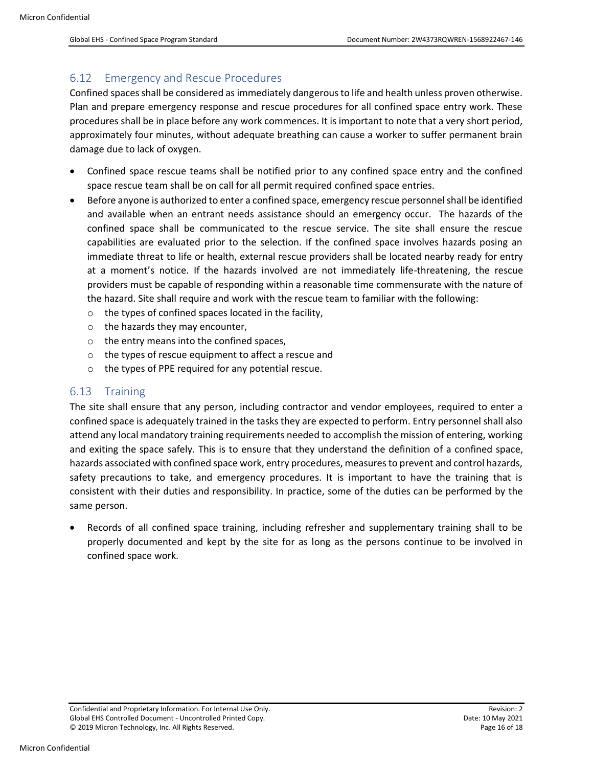#### <span id="page-15-0"></span>6.12 Emergency and Rescue Procedures

Confined spaces shall be considered as immediately dangerous to life and health unless proven otherwise. Plan and prepare emergency response and rescue procedures for all confined space entry work. These procedures shall be in place before any work commences. It is important to note that a very short period, approximately four minutes, without adequate breathing can cause a worker to suffer permanent brain damage due to lack of oxygen.

- Confined space rescue teams shall be notified prior to any confined space entry and the confined space rescue team shall be on call for all permit required confined space entries.
- Before anyone is authorized to enter a confined space, emergency rescue personnel shall be identified and available when an entrant needs assistance should an emergency occur. The hazards of the confined space shall be communicated to the rescue service. The site shall ensure the rescue capabilities are evaluated prior to the selection. If the confined space involves hazards posing an immediate threat to life or health, external rescue providers shall be located nearby ready for entry at a moment's notice. If the hazards involved are not immediately life-threatening, the rescue providers must be capable of responding within a reasonable time commensurate with the nature of the hazard. Site shall require and work with the rescue team to familiar with the following:
	- $\circ$  the types of confined spaces located in the facility,
	- o the hazards they may encounter,
	- o the entry means into the confined spaces,
	- o the types of rescue equipment to affect a rescue and
	- o the types of PPE required for any potential rescue.

#### <span id="page-15-1"></span>6.13 Training

The site shall ensure that any person, including contractor and vendor employees, required to enter a confined space is adequately trained in the tasks they are expected to perform. Entry personnel shall also attend any local mandatory training requirements needed to accomplish the mission of entering, working and exiting the space safely. This is to ensure that they understand the definition of a confined space, hazards associated with confined space work, entry procedures, measures to prevent and control hazards, safety precautions to take, and emergency procedures. It is important to have the training that is consistent with their duties and responsibility. In practice, some of the duties can be performed by the same person.

• Records of all confined space training, including refresher and supplementary training shall to be properly documented and kept by the site for as long as the persons continue to be involved in confined space work.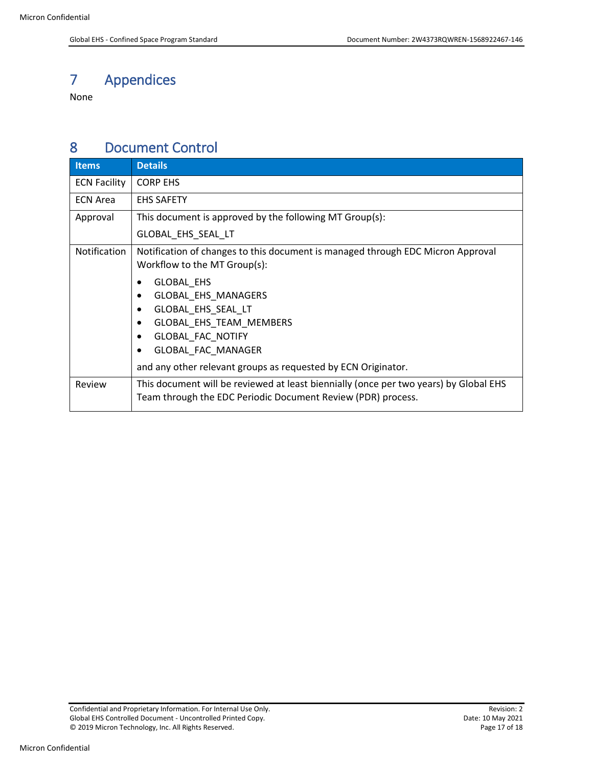# <span id="page-16-0"></span>7 Appendices

None

### <span id="page-16-1"></span>8 Document Control

| <b>Items</b>        | <b>Details</b>                                                                                                                                                                                                               |  |  |  |  |
|---------------------|------------------------------------------------------------------------------------------------------------------------------------------------------------------------------------------------------------------------------|--|--|--|--|
| <b>ECN Facility</b> | <b>CORP EHS</b>                                                                                                                                                                                                              |  |  |  |  |
| <b>ECN Area</b>     | <b>EHS SAFETY</b>                                                                                                                                                                                                            |  |  |  |  |
| Approval            | This document is approved by the following MT Group(s):                                                                                                                                                                      |  |  |  |  |
|                     | GLOBAL EHS SEAL LT                                                                                                                                                                                                           |  |  |  |  |
| Notification        | Notification of changes to this document is managed through EDC Micron Approval<br>Workflow to the MT Group(s):                                                                                                              |  |  |  |  |
|                     | GLOBAL_EHS<br>٠<br>GLOBAL EHS MANAGERS<br>٠<br>GLOBAL_EHS_SEAL_LT<br>٠<br>GLOBAL_EHS_TEAM_MEMBERS<br>٠<br>GLOBAL_FAC_NOTIFY<br>٠<br>GLOBAL_FAC_MANAGER<br>٠<br>and any other relevant groups as requested by ECN Originator. |  |  |  |  |
| Review              | This document will be reviewed at least biennially (once per two years) by Global EHS<br>Team through the EDC Periodic Document Review (PDR) process.                                                                        |  |  |  |  |